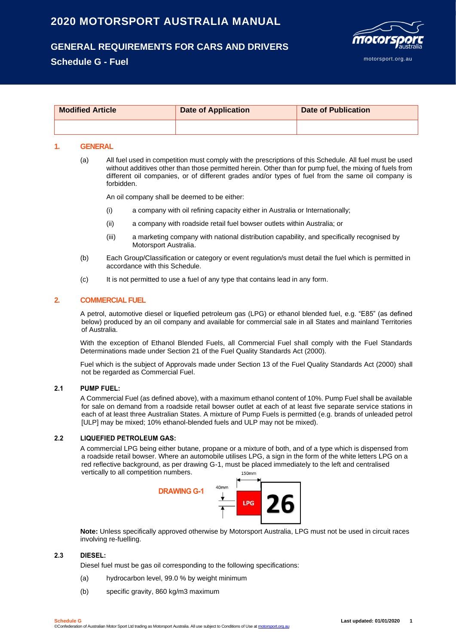# **2020 MOTORSPORT AUSTRALIA MANUAL**

## **GENERAL REQUIREMENTS FOR CARS AND DRIVERS**

## **Schedule G - Fuel**



| <b>Modified Article</b> | <b>Date of Application</b> | <b>Date of Publication</b> |
|-------------------------|----------------------------|----------------------------|
|                         |                            |                            |

## **1. GENERAL**

(a) All fuel used in competition must comply with the prescriptions of this Schedule. All fuel must be used without additives other than those permitted herein. Other than for pump fuel, the mixing of fuels from different oil companies, or of different grades and/or types of fuel from the same oil company is forbidden.

An oil company shall be deemed to be either:

- (i) a company with oil refining capacity either in Australia or Internationally;
- (ii) a company with roadside retail fuel bowser outlets within Australia; or
- (iii) a marketing company with national distribution capability, and specifically recognised by Motorsport Australia.
- (b) Each Group/Classification or category or event regulation/s must detail the fuel which is permitted in accordance with this Schedule.
- (c) It is not permitted to use a fuel of any type that contains lead in any form.

## **2. COMMERCIAL FUEL**

A petrol, automotive diesel or liquefied petroleum gas (LPG) or ethanol blended fuel, e.g. "E85" (as defined below) produced by an oil company and available for commercial sale in all States and mainland Territories of Australia.

With the exception of Ethanol Blended Fuels, all Commercial Fuel shall comply with the Fuel Standards Determinations made under Section 21 of the Fuel Quality Standards Act (2000).

Fuel which is the subject of Approvals made under Section 13 of the Fuel Quality Standards Act (2000) shall not be regarded as Commercial Fuel.

## **2.1 PUMP FUEL:**

A Commercial Fuel (as defined above), with a maximum ethanol content of 10%. Pump Fuel shall be available for sale on demand from a roadside retail bowser outlet at each of at least five separate service stations in each of at least three Australian States. A mixture of Pump Fuels is permitted (e.g. brands of unleaded petrol [ULP] may be mixed; 10% ethanol-blended fuels and ULP may not be mixed).

## **2.2 LIQUEFIED PETROLEUM GAS:**

A commercial LPG being either butane, propane or a mixture of both, and of a type which is dispensed from a roadside retail bowser. Where an automobile utilises LPG, a sign in the form of the white letters LPG on a red reflective background, as per drawing G-1, must be placed immediately to the left and centralised vertically to all competition numbers. 150mm



**Note:** Unless specifically approved otherwise by Motorsport Australia, LPG must not be used in circuit races involving re-fuelling.

## **2.3 DIESEL:**

Diesel fuel must be gas oil corresponding to the following specifications:

- (a) hydrocarbon level, 99.0 % by weight minimum
- (b) specific gravity, 860 kg/m3 maximum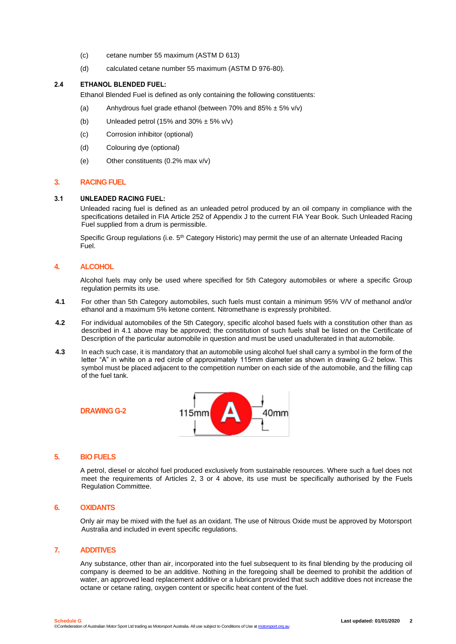- (c) cetane number 55 maximum (ASTM D 613)
- (d) calculated cetane number 55 maximum (ASTM D 976-80).

## **2.4 ETHANOL BLENDED FUEL:**

Ethanol Blended Fuel is defined as only containing the following constituents:

- (a) Anhydrous fuel grade ethanol (between 70% and  $85\% \pm 5\%$  v/v)
- (b) Unleaded petrol (15% and  $30\% \pm 5\%$  v/v)
- (c) Corrosion inhibitor (optional)
- (d) Colouring dye (optional)
- (e) Other constituents (0.2% max v/v)

## **3. RACING FUEL**

### **3.1 UNLEADED RACING FUEL:**

Unleaded racing fuel is defined as an unleaded petrol produced by an oil company in compliance with the specifications detailed in FIA Article 252 of Appendix J to the current FIA Year Book. Such Unleaded Racing Fuel supplied from a drum is permissible.

Specific Group regulations (i.e. 5<sup>th</sup> Category Historic) may permit the use of an alternate Unleaded Racing Fuel.

## **4. ALCOHOL**

Alcohol fuels may only be used where specified for 5th Category automobiles or where a specific Group regulation permits its use.

- **4.1** For other than 5th Category automobiles, such fuels must contain a minimum 95% V/V of methanol and/or ethanol and a maximum 5% ketone content. Nitromethane is expressly prohibited.
- **4.2** For individual automobiles of the 5th Category, specific alcohol based fuels with a constitution other than as described in 4.1 above may be approved; the constitution of such fuels shall be listed on the Certificate of Description of the particular automobile in question and must be used unadulterated in that automobile.
- **4.3** In each such case, it is mandatory that an automobile using alcohol fuel shall carry a symbol in the form of the letter "A" in white on a red circle of approximately 115mm diameter as shown in drawing G-2 below. This symbol must be placed adjacent to the competition number on each side of the automobile, and the filling cap of the fuel tank.



### **5. BIO FUELS**

**DRAWING G-2**

A petrol, diesel or alcohol fuel produced exclusively from sustainable resources. Where such a fuel does not meet the requirements of Articles 2, 3 or 4 above, its use must be specifically authorised by the Fuels Regulation Committee.

## **6. OXIDANTS**

Only air may be mixed with the fuel as an oxidant. The use of Nitrous Oxide must be approved by Motorsport Australia and included in event specific regulations.

## **7. ADDITIVES**

Any substance, other than air, incorporated into the fuel subsequent to its final blending by the producing oil company is deemed to be an additive. Nothing in the foregoing shall be deemed to prohibit the addition of water, an approved lead replacement additive or a lubricant provided that such additive does not increase the octane or cetane rating, oxygen content or specific heat content of the fuel.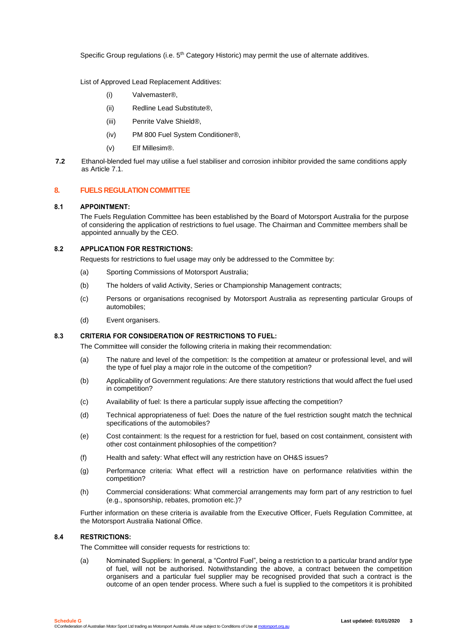Specific Group regulations (i.e.  $5<sup>th</sup>$  Category Historic) may permit the use of alternate additives.

List of Approved Lead Replacement Additives:

- (i) Valvemaster®,
- (ii) Redline Lead Substitute®,
- (iii) Penrite Valve Shield®,
- (iv) PM 800 Fuel System Conditioner®,
- (v) Elf Millesim®.
- **7.2** Ethanol-blended fuel may utilise a fuel stabiliser and corrosion inhibitor provided the same conditions apply as Article 7.1.

## **8. FUELS REGULATION COMMITTEE**

## **8.1 APPOINTMENT:**

The Fuels Regulation Committee has been established by the Board of Motorsport Australia for the purpose of considering the application of restrictions to fuel usage. The Chairman and Committee members shall be appointed annually by the CEO.

## **8.2 APPLICATION FOR RESTRICTIONS:**

Requests for restrictions to fuel usage may only be addressed to the Committee by:

- (a) Sporting Commissions of Motorsport Australia;
- (b) The holders of valid Activity, Series or Championship Management contracts;
- (c) Persons or organisations recognised by Motorsport Australia as representing particular Groups of automobiles;
- (d) Event organisers.

## **8.3 CRITERIA FOR CONSIDERATION OF RESTRICTIONS TO FUEL:**

The Committee will consider the following criteria in making their recommendation:

- (a) The nature and level of the competition: Is the competition at amateur or professional level, and will the type of fuel play a major role in the outcome of the competition?
- (b) Applicability of Government regulations: Are there statutory restrictions that would affect the fuel used in competition?
- (c) Availability of fuel: Is there a particular supply issue affecting the competition?
- (d) Technical appropriateness of fuel: Does the nature of the fuel restriction sought match the technical specifications of the automobiles?
- (e) Cost containment: Is the request for a restriction for fuel, based on cost containment, consistent with other cost containment philosophies of the competition?
- (f) Health and safety: What effect will any restriction have on OH&S issues?
- (g) Performance criteria: What effect will a restriction have on performance relativities within the competition?
- (h) Commercial considerations: What commercial arrangements may form part of any restriction to fuel (e.g., sponsorship, rebates, promotion etc.)?

Further information on these criteria is available from the Executive Officer, Fuels Regulation Committee, at the Motorsport Australia National Office.

### **8.4 RESTRICTIONS:**

The Committee will consider requests for restrictions to:

(a) Nominated Suppliers: In general, a "Control Fuel", being a restriction to a particular brand and/or type of fuel, will not be authorised. Notwithstanding the above, a contract between the competition organisers and a particular fuel supplier may be recognised provided that such a contract is the outcome of an open tender process. Where such a fuel is supplied to the competitors it is prohibited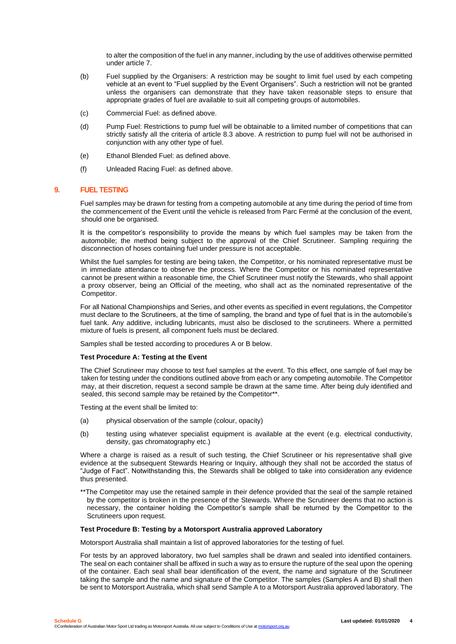to alter the composition of the fuel in any manner, including by the use of additives otherwise permitted under article 7.

- (b) Fuel supplied by the Organisers: A restriction may be sought to limit fuel used by each competing vehicle at an event to "Fuel supplied by the Event Organisers". Such a restriction will not be granted unless the organisers can demonstrate that they have taken reasonable steps to ensure that appropriate grades of fuel are available to suit all competing groups of automobiles.
- (c) Commercial Fuel: as defined above.
- (d) Pump Fuel: Restrictions to pump fuel will be obtainable to a limited number of competitions that can strictly satisfy all the criteria of article 8.3 above. A restriction to pump fuel will not be authorised in conjunction with any other type of fuel.
- (e) Ethanol Blended Fuel: as defined above.
- (f) Unleaded Racing Fuel: as defined above.

## **9. FUEL TESTING**

Fuel samples may be drawn for testing from a competing automobile at any time during the period of time from the commencement of the Event until the vehicle is released from Parc Fermé at the conclusion of the event, should one be organised.

It is the competitor's responsibility to provide the means by which fuel samples may be taken from the automobile; the method being subject to the approval of the Chief Scrutineer. Sampling requiring the disconnection of hoses containing fuel under pressure is not acceptable.

Whilst the fuel samples for testing are being taken, the Competitor, or his nominated representative must be in immediate attendance to observe the process. Where the Competitor or his nominated representative cannot be present within a reasonable time, the Chief Scrutineer must notify the Stewards, who shall appoint a proxy observer, being an Official of the meeting, who shall act as the nominated representative of the Competitor.

For all National Championships and Series, and other events as specified in event regulations, the Competitor must declare to the Scrutineers, at the time of sampling, the brand and type of fuel that is in the automobile's fuel tank. Any additive, including lubricants, must also be disclosed to the scrutineers. Where a permitted mixture of fuels is present, all component fuels must be declared.

Samples shall be tested according to procedures A or B below.

### **Test Procedure A: Testing at the Event**

The Chief Scrutineer may choose to test fuel samples at the event. To this effect, one sample of fuel may be taken for testing under the conditions outlined above from each or any competing automobile. The Competitor may, at their discretion, request a second sample be drawn at the same time. After being duly identified and sealed, this second sample may be retained by the Competitor\*\*.

Testing at the event shall be limited to:

- (a) physical observation of the sample (colour, opacity)
- (b) testing using whatever specialist equipment is available at the event (e.g. electrical conductivity, density, gas chromatography etc.)

Where a charge is raised as a result of such testing, the Chief Scrutineer or his representative shall give evidence at the subsequent Stewards Hearing or Inquiry, although they shall not be accorded the status of "Judge of Fact". Notwithstanding this, the Stewards shall be obliged to take into consideration any evidence thus presented.

\*\*The Competitor may use the retained sample in their defence provided that the seal of the sample retained by the competitor is broken in the presence of the Stewards. Where the Scrutineer deems that no action is necessary, the container holding the Competitor's sample shall be returned by the Competitor to the Scrutineers upon request.

### **Test Procedure B: Testing by a Motorsport Australia approved Laboratory**

Motorsport Australia shall maintain a list of approved laboratories for the testing of fuel.

For tests by an approved laboratory, two fuel samples shall be drawn and sealed into identified containers. The seal on each container shall be affixed in such a way as to ensure the rupture of the seal upon the opening of the container. Each seal shall bear identification of the event, the name and signature of the Scrutineer taking the sample and the name and signature of the Competitor. The samples (Samples A and B) shall then be sent to Motorsport Australia, which shall send Sample A to a Motorsport Australia approved laboratory. The